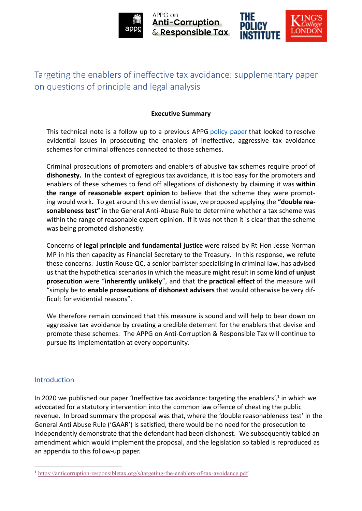

APPG on **Anti-Corruption** & Responsible Tax



# Targeting the enablers of ineffective tax avoidance: supplementary paper on questions of principle and legal analysis

## **Executive Summary**

This technical note is a follow up to a previous APPG [policy](https://eur03.safelinks.protection.outlook.com/?url=https%3A%2F%2Fstatic1.squarespace.com%2Fstatic%2F5e4a7793b0171c0e2321f308%2Ft%2F5f90347d3e827c08d710bf2d%2F1603286142668%2Ftargeting-the-enablers-of-tax-avoidance.pdf&data=05%7C01%7Cclair.1.quentin%40kcl.ac.uk%7C93663a7f8e704b45602b08da4eee4825%7C8370cf1416f34c16b83c724071654356%7C0%7C0%7C637909083253597500%7CUnknown%7CTWFpbGZsb3d8eyJWIjoiMC4wLjAwMDAiLCJQIjoiV2luMzIiLCJBTiI6Ik1haWwiLCJXVCI6Mn0%3D%7C3000%7C%7C%7C&sdata=MvYVKoiO3Ps8Bg45U0Zr5h13dRHcjfbttGeGu5Yc0ZY%3D&reserved=0) paper that looked to resolve evidential issues in prosecuting the enablers of ineffective, aggressive tax avoidance schemes for criminal offences connected to those schemes.

Criminal prosecutions of promoters and enablers of abusive tax schemes require proof of **dishonesty.** In the context of egregious tax avoidance, it is too easy for the promoters and enablers of these schemes to fend off allegations of dishonesty by claiming it was **within the range of reasonable expert opinion** to believe that the scheme they were promoting would work**.** To get around this evidential issue, we proposed applying the **"double reasonableness test"** in the General Anti-Abuse Rule to determine whether a tax scheme was within the range of reasonable expert opinion. If it was not then it is clear that the scheme was being promoted dishonestly.

Concerns of **legal principle and fundamental justice** were raised by Rt Hon Jesse Norman MP in his then capacity as Financial Secretary to the Treasury. In this response, we refute these concerns. Justin Rouse QC, a senior barrister specialising in criminal law, has advised us that the hypothetical scenarios in which the measure might result in some kind of **unjust prosecution** were "**inherently unlikely**", and that the **practical effect** of the measure will "simply be to **enable prosecutions of dishonest advisers** that would otherwise be very difficult for evidential reasons".

We therefore remain convinced that this measure is sound and will help to bear down on aggressive tax avoidance by creating a credible deterrent for the enablers that devise and promote these schemes. The APPG on Anti-Corruption & Responsible Tax will continue to pursue its implementation at every opportunity.

## Introduction

In 2020 we published our paper ['Ineffective tax avoidance: targeting the enablers'](https://anticorruption-responsibletax.org/s/targeting-the-enablers-of-tax-avoidance.pdf),<sup>1</sup> in which we advocated for a statutory intervention into the common law offence of cheating the public revenue. In broad summary the proposal was that, where the 'double reasonableness test' in the General Anti Abuse Rule ('GAAR') is satisfied, there would be no need for the prosecution to independently demonstrate that the defendant had been dishonest. We subsequently tabled an amendment which would implement the proposal, and the legislation so tabled is reproduced as an appendix to this follow-up paper.

<sup>1</sup> <https://anticorruption-responsibletax.org/s/targeting-the-enablers-of-tax-avoidance.pdf>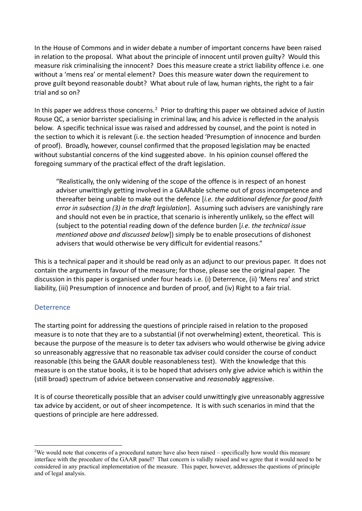In the House of Commons and in wider debate a number of important concerns have been raised in relation to the proposal. What about the principle of innocent until proven guilty? Would this measure risk criminalising the innocent? Does this measure create a strict liability offence i.e. one without a 'mens rea' or mental element? Does this measure water down the requirement to prove guilt beyond reasonable doubt? What about rule of law, human rights, the right to a fair trial and so on?

In this paper we address those concerns.<sup>2</sup> Prior to drafting this paper we obtained advice of Justin Rouse QC, a senior barrister specialising in criminal law, and his advice is reflected in the analysis below. A specific technical issue was raised and addressed by counsel, and the point is noted in the section to which it is relevant (i.e. the section headed 'Presumption of innocence and burden of proof). Broadly, however, counsel confirmed that the proposed legislation may be enacted without substantial concerns of the kind suggested above. In his opinion counsel offered the foregoing summary of the practical effect of the draft legislation.

"Realistically, the only widening of the scope of the offence is in respect of an honest adviser unwittingly getting involved in a GAARable scheme out of gross incompetence and thereafter being unable to make out the defence [*i.e. the additional defence for good faith error in subsection (3) in the draft legislation*]. Assuming such advisers are vanishingly rare and should not even be in practice, that scenario is inherently unlikely, so the effect will (subject to the potential reading down of the defence burden [*i.e. the technical issue mentioned above and discussed below*]) simply be to enable prosecutions of dishonest advisers that would otherwise be very difficult for evidential reasons."

This is a technical paper and it should be read only as an adjunct to our previous paper. It does not contain the arguments in favour of the measure; for those, please see the original paper. The discussion in this paper is organised under four heads i.e. (i) Deterrence, (ii) 'Mens rea' and strict liability, (iii) Presumption of innocence and burden of proof, and (iv) Right to a fair trial.

## **Deterrence**

The starting point for addressing the questions of principle raised in relation to the proposed measure is to note that they are to a substantial (if not overwhelming) extent, theoretical. This is because the purpose of the measure is to deter tax advisers who would otherwise be giving advice so unreasonably aggressive that no reasonable tax adviser could consider the course of conduct reasonable (this being the GAAR double reasonableness test). With the knowledge that this measure is on the statue books, it is to be hoped that advisers only give advice which is within the (still broad) spectrum of advice between conservative and *reasonably* aggressive.

It is of course theoretically possible that an adviser could unwittingly give unreasonably aggressive tax advice by accident, or out of sheer incompetence. It is with such scenarios in mind that the questions of principle are here addressed.

<sup>&</sup>lt;sup>2</sup>We would note that concerns of a procedural nature have also been raised – specifically how would this measure interface with the procedure of the GAAR panel? That concern is validly raised and we agree that it would need to be considered in any practical implementation of the measure. This paper, however, addresses the questions of principle and of legal analysis.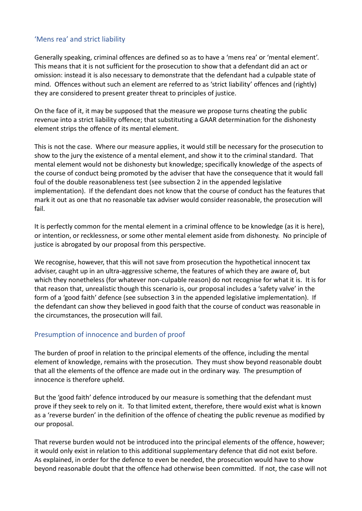## 'Mens rea' and strict liability

Generally speaking, criminal offences are defined so as to have a 'mens rea' or 'mental element'. This means that it is not sufficient for the prosecution to show that a defendant did an act or omission: instead it is also necessary to demonstrate that the defendant had a culpable state of mind. Offences without such an element are referred to as 'strict liability' offences and (rightly) they are considered to present greater threat to principles of justice.

On the face of it, it may be supposed that the measure we propose turns cheating the public revenue into a strict liability offence; that substituting a GAAR determination for the dishonesty element strips the offence of its mental element.

This is not the case. Where our measure applies, it would still be necessary for the prosecution to show to the jury the existence of a mental element, and show it to the criminal standard. That mental element would not be dishonesty but knowledge; specifically knowledge of the aspects of the course of conduct being promoted by the adviser that have the consequence that it would fall foul of the double reasonableness test (see subsection 2 in the appended legislative implementation). If the defendant does not know that the course of conduct has the features that mark it out as one that no reasonable tax adviser would consider reasonable, the prosecution will fail.

It is perfectly common for the mental element in a criminal offence to be knowledge (as it is here), or intention, or recklessness, or some other mental element aside from dishonesty. No principle of justice is abrogated by our proposal from this perspective.

We recognise, however, that this will not save from prosecution the hypothetical innocent tax adviser, caught up in an ultra-aggressive scheme, the features of which they are aware of, but which they nonetheless (for whatever non-culpable reason) do not recognise for what it is. It is for that reason that, unrealistic though this scenario is, our proposal includes a 'safety valve' in the form of a 'good faith' defence (see subsection 3 in the appended legislative implementation). If the defendant can show they believed in good faith that the course of conduct was reasonable in the circumstances, the prosecution will fail.

## Presumption of innocence and burden of proof

The burden of proof in relation to the principal elements of the offence, including the mental element of knowledge, remains with the prosecution. They must show beyond reasonable doubt that all the elements of the offence are made out in the ordinary way. The presumption of innocence is therefore upheld.

But the 'good faith' defence introduced by our measure is something that the defendant must prove if they seek to rely on it. To that limited extent, therefore, there would exist what is known as a 'reverse burden' in the definition of the offence of cheating the public revenue as modified by our proposal.

That reverse burden would not be introduced into the principal elements of the offence, however; it would only exist in relation to this additional supplementary defence that did not exist before. As explained, in order for the defence to even be needed, the prosecution would have to show beyond reasonable doubt that the offence had otherwise been committed. If not, the case will not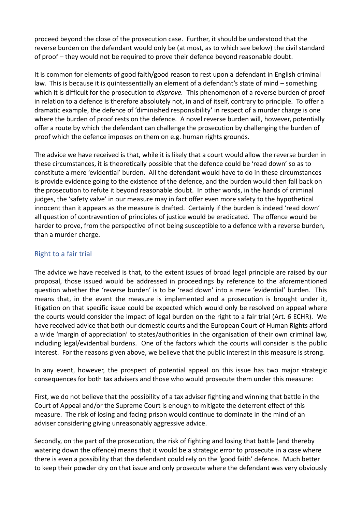proceed beyond the close of the prosecution case. Further, it should be understood that the reverse burden on the defendant would only be (at most, as to which see below) the civil standard of proof – they would not be required to prove their defence beyond reasonable doubt.

It is common for elements of good faith/good reason to rest upon a defendant in English criminal law. This is because it is quintessentially an element of a defendant's state of mind – something which it is difficult for the prosecution to *disprove.* This phenomenon of a reverse burden of proof in relation to a defence is therefore absolutely not, in and of itself, contrary to principle. To offer a dramatic example, the defence of 'diminished responsibility' in respect of a murder charge is one where the burden of proof rests on the defence. A novel reverse burden will, however, potentially offer a route by which the defendant can challenge the prosecution by challenging the burden of proof which the defence imposes on them on e.g. human rights grounds.

The advice we have received is that, while it is likely that a court would allow the reverse burden in these circumstances, it is theoretically possible that the defence could be 'read down' so as to constitute a mere 'evidential' burden. All the defendant would have to do in these circumstances is provide evidence going to the existence of the defence, and the burden would then fall back on the prosecution to refute it beyond reasonable doubt. In other words, in the hands of criminal judges, the 'safety valve' in our measure may in fact offer even more safety to the hypothetical innocent than it appears as the measure is drafted. Certainly if the burden is indeed 'read down' all question of contravention of principles of justice would be eradicated. The offence would be harder to prove, from the perspective of not being susceptible to a defence with a reverse burden, than a murder charge.

## Right to a fair trial

The advice we have received is that, to the extent issues of broad legal principle are raised by our proposal, those issued would be addressed in proceedings by reference to the aforementioned question whether the 'reverse burden' is to be 'read down' into a mere 'evidential' burden. This means that, in the event the measure is implemented and a prosecution is brought under it, litigation on that specific issue could be expected which would only be resolved on appeal where the courts would consider the impact of legal burden on the right to a fair trial (Art. 6 ECHR). We have received advice that both our domestic courts and the European Court of Human Rights afford a wide 'margin of appreciation' to states/authorities in the organisation of their own criminal law, including legal/evidential burdens. One of the factors which the courts will consider is the public interest. For the reasons given above, we believe that the public interest in this measure is strong.

In any event, however, the prospect of potential appeal on this issue has two major strategic consequences for both tax advisers and those who would prosecute them under this measure:

First, we do not believe that the possibility of a tax adviser fighting and winning that battle in the Court of Appeal and/or the Supreme Court is enough to mitigate the deterrent effect of this measure. The risk of losing and facing prison would continue to dominate in the mind of an adviser considering giving unreasonably aggressive advice.

Secondly, on the part of the prosecution, the risk of fighting and losing that battle (and thereby watering down the offence) means that it would be a strategic error to prosecute in a case where there is even a possibility that the defendant could rely on the 'good faith' defence. Much better to keep their powder dry on that issue and only prosecute where the defendant was very obviously